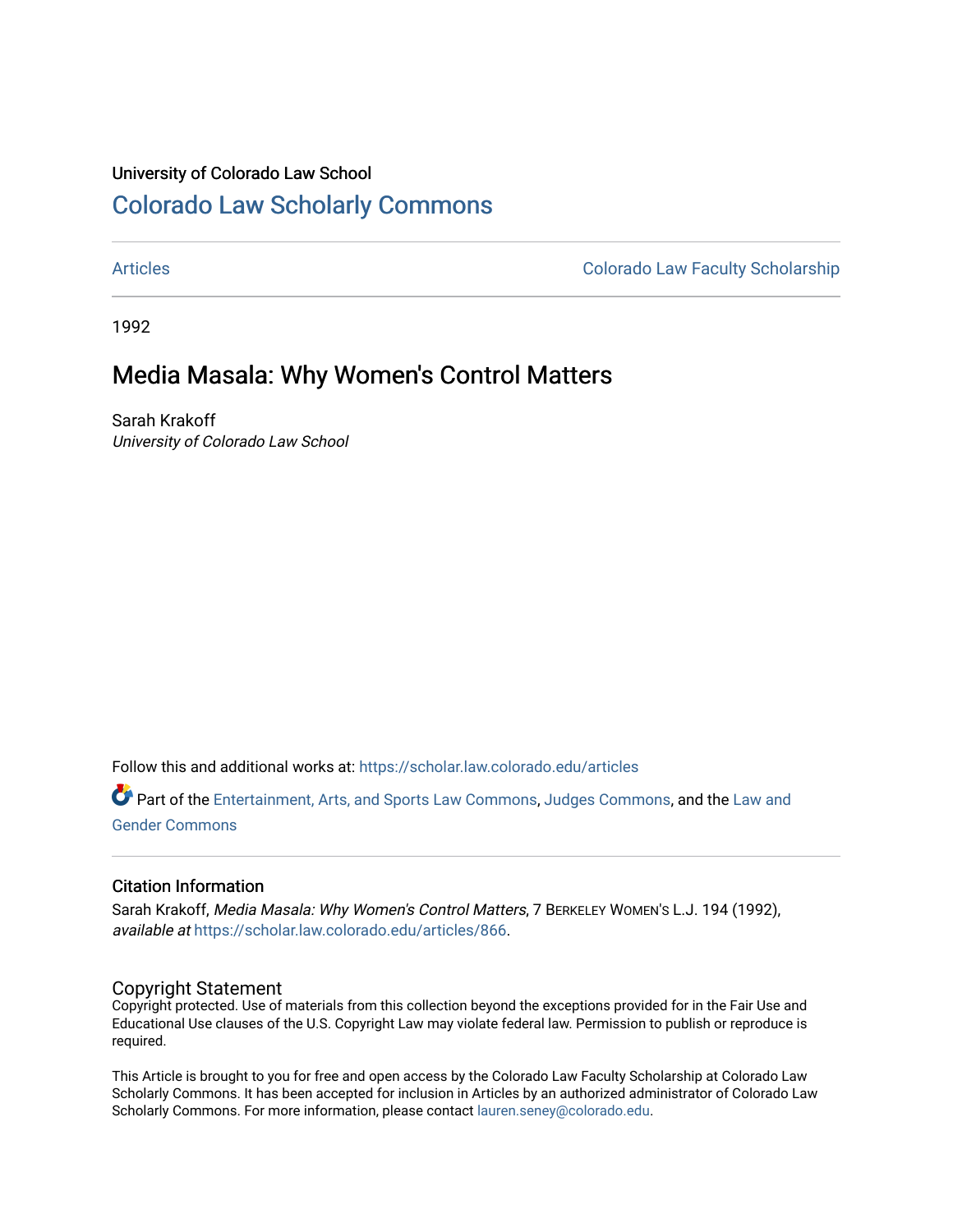### University of Colorado Law School [Colorado Law Scholarly Commons](https://scholar.law.colorado.edu/)

[Articles](https://scholar.law.colorado.edu/articles) [Colorado Law Faculty Scholarship](https://scholar.law.colorado.edu/colorado-law-faculty-scholarship) 

1992

## Media Masala: Why Women's Control Matters

Sarah Krakoff University of Colorado Law School

Follow this and additional works at: [https://scholar.law.colorado.edu/articles](https://scholar.law.colorado.edu/articles?utm_source=scholar.law.colorado.edu%2Farticles%2F866&utm_medium=PDF&utm_campaign=PDFCoverPages) 

Part of the [Entertainment, Arts, and Sports Law Commons](http://network.bepress.com/hgg/discipline/893?utm_source=scholar.law.colorado.edu%2Farticles%2F866&utm_medium=PDF&utm_campaign=PDFCoverPages), [Judges Commons](http://network.bepress.com/hgg/discipline/849?utm_source=scholar.law.colorado.edu%2Farticles%2F866&utm_medium=PDF&utm_campaign=PDFCoverPages), and the [Law and](http://network.bepress.com/hgg/discipline/1298?utm_source=scholar.law.colorado.edu%2Farticles%2F866&utm_medium=PDF&utm_campaign=PDFCoverPages)  [Gender Commons](http://network.bepress.com/hgg/discipline/1298?utm_source=scholar.law.colorado.edu%2Farticles%2F866&utm_medium=PDF&utm_campaign=PDFCoverPages) 

### Citation Information

Sarah Krakoff, Media Masala: Why Women's Control Matters, 7 BERKELEY WOMEN'S L.J. 194 (1992), available at [https://scholar.law.colorado.edu/articles/866.](https://scholar.law.colorado.edu/articles/866?utm_source=scholar.law.colorado.edu%2Farticles%2F866&utm_medium=PDF&utm_campaign=PDFCoverPages)

### Copyright Statement

Copyright protected. Use of materials from this collection beyond the exceptions provided for in the Fair Use and Educational Use clauses of the U.S. Copyright Law may violate federal law. Permission to publish or reproduce is required.

This Article is brought to you for free and open access by the Colorado Law Faculty Scholarship at Colorado Law Scholarly Commons. It has been accepted for inclusion in Articles by an authorized administrator of Colorado Law Scholarly Commons. For more information, please contact [lauren.seney@colorado.edu.](mailto:lauren.seney@colorado.edu)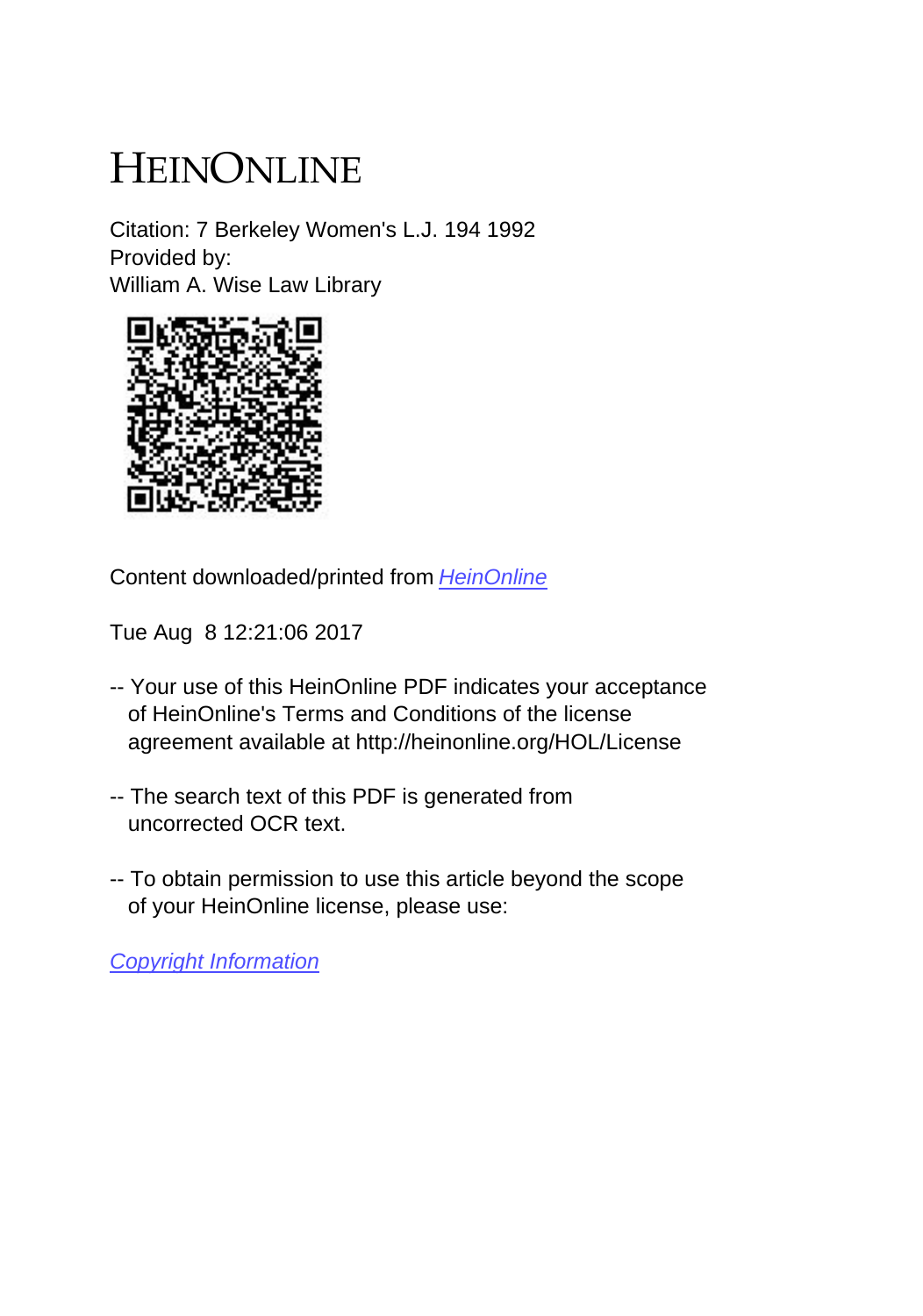# HEINONLINE

Citation: 7 Berkeley Women's L.J. 194 1992 Provided by: William A. Wise Law Library



Content downloaded/printed from [HeinOnline](http://heinonline.org/HOL/Page?handle=hein.journals/berkwolj7&collection=journals&id=198&startid=&endid=208)

Tue Aug 8 12:21:06 2017

- -- Your use of this HeinOnline PDF indicates your acceptance of HeinOnline's Terms and Conditions of the license agreement available at http://heinonline.org/HOL/License
- -- The search text of this PDF is generated from uncorrected OCR text.
- -- To obtain permission to use this article beyond the scope of your HeinOnline license, please use:

[Copyright Information](https://www.copyright.com/ccc/basicSearch.do?operation=go&searchType=0&lastSearch=simple&all=on&titleOrStdNo=0882-4312)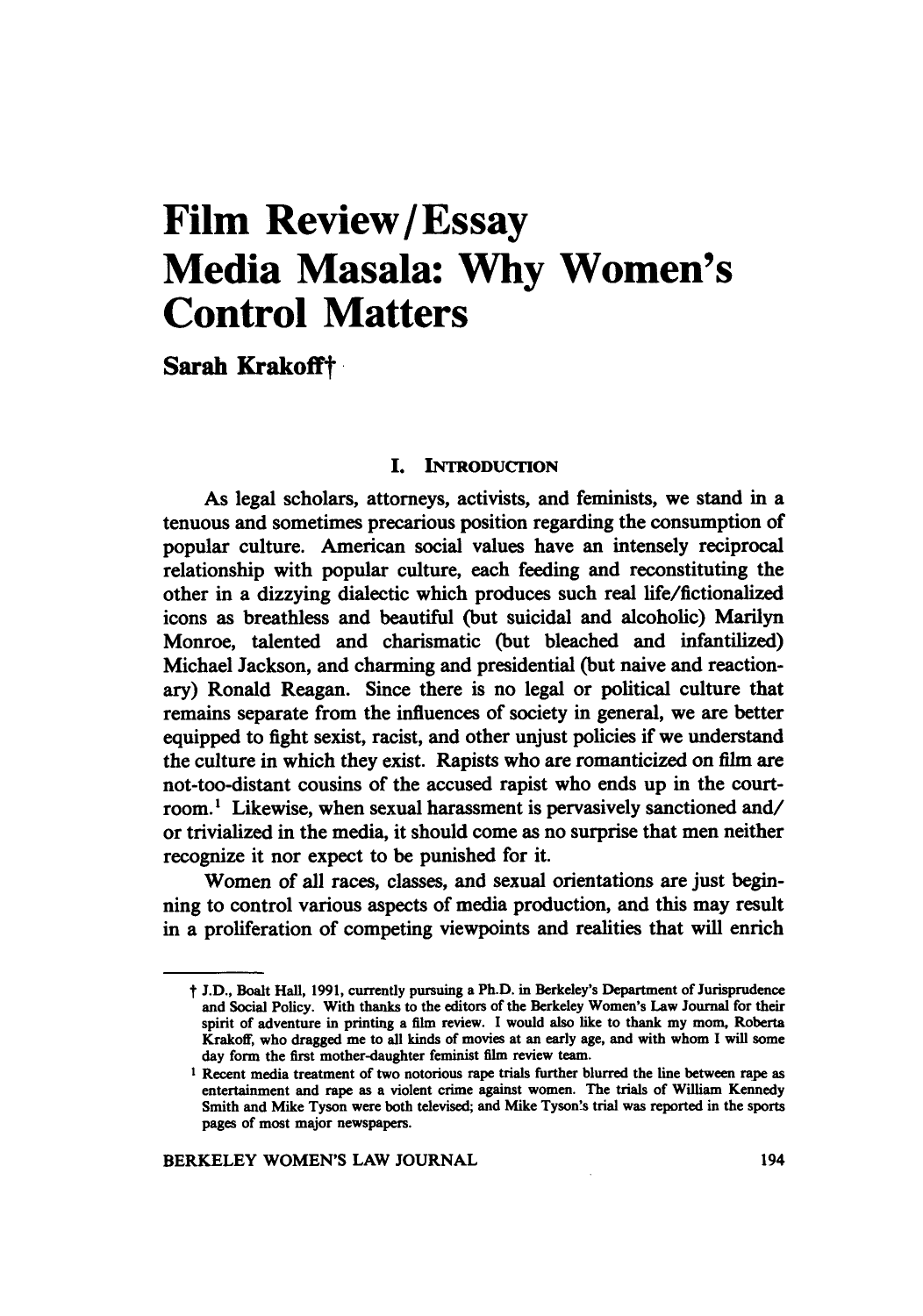# **Film Review/Essay Media Masala: Why Women's Control Matters**

**Sarah** Krakofft

#### **I. INTRODUCTION**

As legal scholars, attorneys, activists, and feminists, we stand **in** a tenuous and sometimes precarious position regarding the consumption of popular culture. American social values have an intensely reciprocal relationship with popular culture, each feeding and reconstituting the other in a dizzying dialectic which produces such real life/fictionalized icons as breathless and beautiful (but suicidal and alcoholic) Marilyn Monroe, talented and charismatic (but bleached and infantilized) Michael Jackson, and charming and presidential (but naive and reactionary) Ronald Reagan. Since there is no legal or political culture that remains separate from the influences of society in general, we are better equipped to fight sexist, racist, and other unjust policies if we understand the culture in which they exist. Rapists who are romanticized on film are not-too-distant cousins of the accused rapist who ends up in the courtroom.<sup>1</sup> Likewise, when sexual harassment is pervasively sanctioned and/ or trivialized in the media, it should come as no surprise that men neither recognize it nor expect to be punished for it.

Women of all races, classes, and sexual orientations are just beginning to control various aspects of media production, and this may result in a proliferation of competing viewpoints and realities that will enrich

t **J.D.,** Boalt Hall, **1991,** currently pursuing a Ph.D. in Berkeley's Department of Jurisprudence and Social Policy. With thanks to the editors of the Berkeley Women's Law Journal for their spirit of adventure in printing a film review. I would also like to thank my mom, Roberta Krakoff, who dragged me to all kinds of movies at an early age, and with whom I will some day form the first mother-daughter feminist film review team.

I Recent media treatment **of** two notorious rape trials further blurred the line between rape as entertainment and rape as a violent crime against women. The trials of William Kennedy Smith and Mike Tyson were both televised; and Mike Tyson's trial was reported in the sports pages of most major newspapers.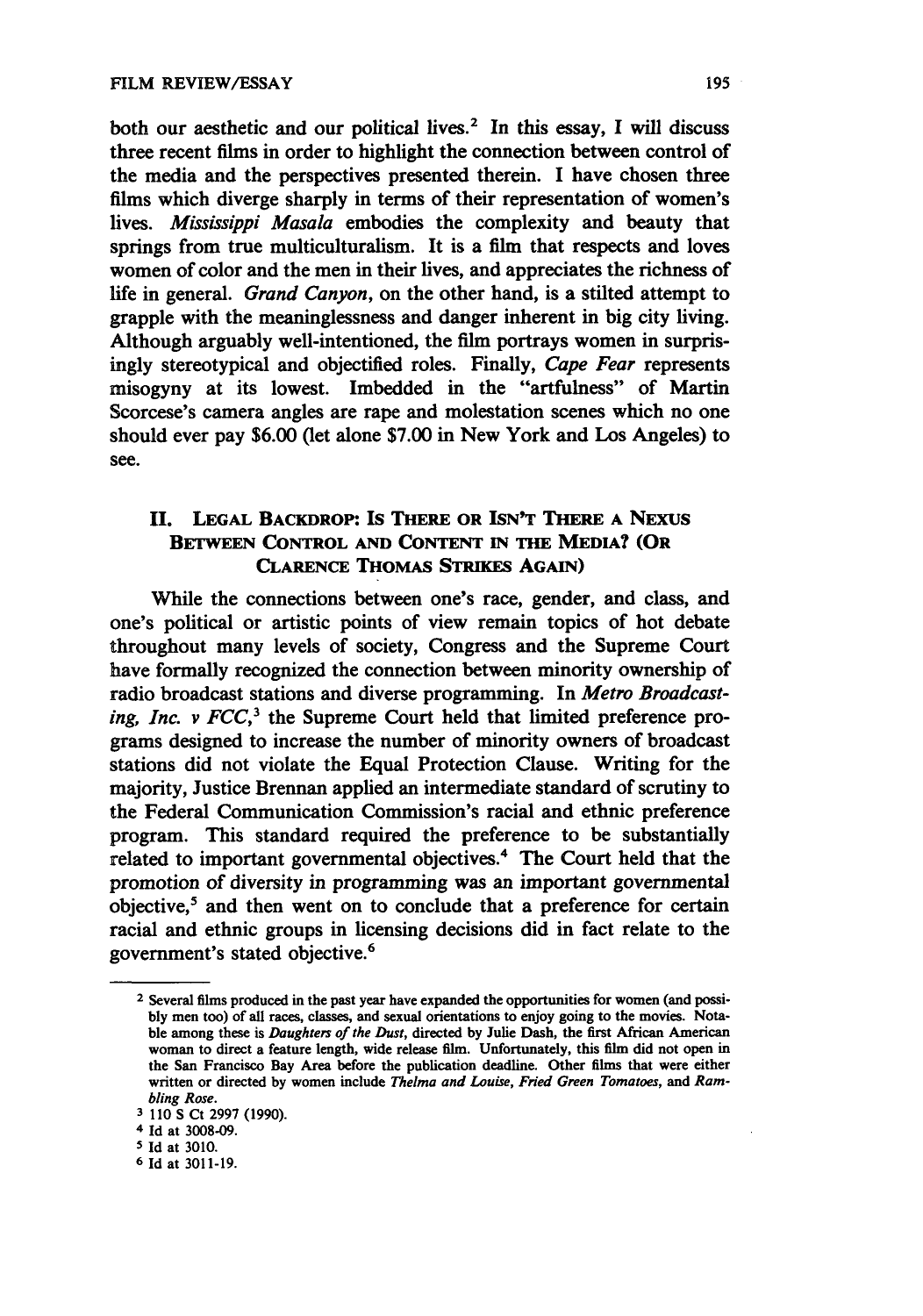both our aesthetic and our political lives.2 In this essay, **I** will discuss three recent films in order to highlight the connection between control of the media and the perspectives presented therein. **I** have chosen three films which diverge sharply in terms of their representation of women's lives. *Mississippi Masala* embodies the complexity and beauty that springs from true multiculturalism. It is a film that respects and loves women of color and the men in their lives, and appreciates the richness of life in general. *Grand Canyon,* on the other hand, is a stilted attempt to grapple with the meaninglessness and danger inherent in big city living. Although arguably well-intentioned, the film portrays women in surprisingly stereotypical and objectified roles. Finally, *Cape Fear* represents misogyny at its lowest. Imbedded in the "artfulness" of Martin Scorcese's camera angles are rape and molestation scenes which no one should ever pay **\$6.00 (let** alone **\$7.00** in New York and Los Angeles) to see.

### **II. LEGAL BACKDROP: IS THERE OR ISN'T THERE A** NExus **BETWEEN CONTROL AND CONTENT IN THE MEDIA? (OR CLARENCE THOMAS STRIKES AGAIN)**

While **the connections between one's race, gender, and class, and** one's political or artistic points of view remain topics of hot debate throughout many levels of society, Congress and the Supreme Court have formally recognized the connection between minority ownership of radio broadcast stations and diverse programming. In *Metro Broadcasting, Inc. v*  $FCC$ *,*<sup>3</sup> the Supreme Court held that limited preference programs designed to increase the number of minority owners of broadcast stations did not violate the Equal Protection Clause. Writing for the majority, Justice Brennan applied an intermediate standard of scrutiny to the Federal Communication Commission's racial and ethnic preference program. This standard required the preference to be substantially related to important governmental objectives.<sup>4</sup> The Court held that the promotion of diversity in programming was an important governmental objective,5 and then went on to conclude that a preference for certain racial and ethnic groups in licensing decisions did in fact relate to the government's stated objective.6

**<sup>2</sup>** Several films produced in the past year have expanded the opportunities for women (and possi**bly** men too) of all races, classes, and sexual orientations to enjoy going to the movies. Notable among these is **Daughters** of the Dust, directed **by** Julie Dash, the first African American woman to direct a feature length, wide release film. Unfortunately, this film did not open in the San Francisco Bay Area before the publication deadline. Other films that were either written or directed **by** women include Thelma and *Louise, Fied Green Tomatoes, and Ram*bling *Rose.*

**<sup>3 110</sup> S** Ct **2997 (1990).**

**<sup>4</sup> Id** at **3008-09.**

**<sup>5</sup> Id** at **3010. 6** Id at **3011-19.**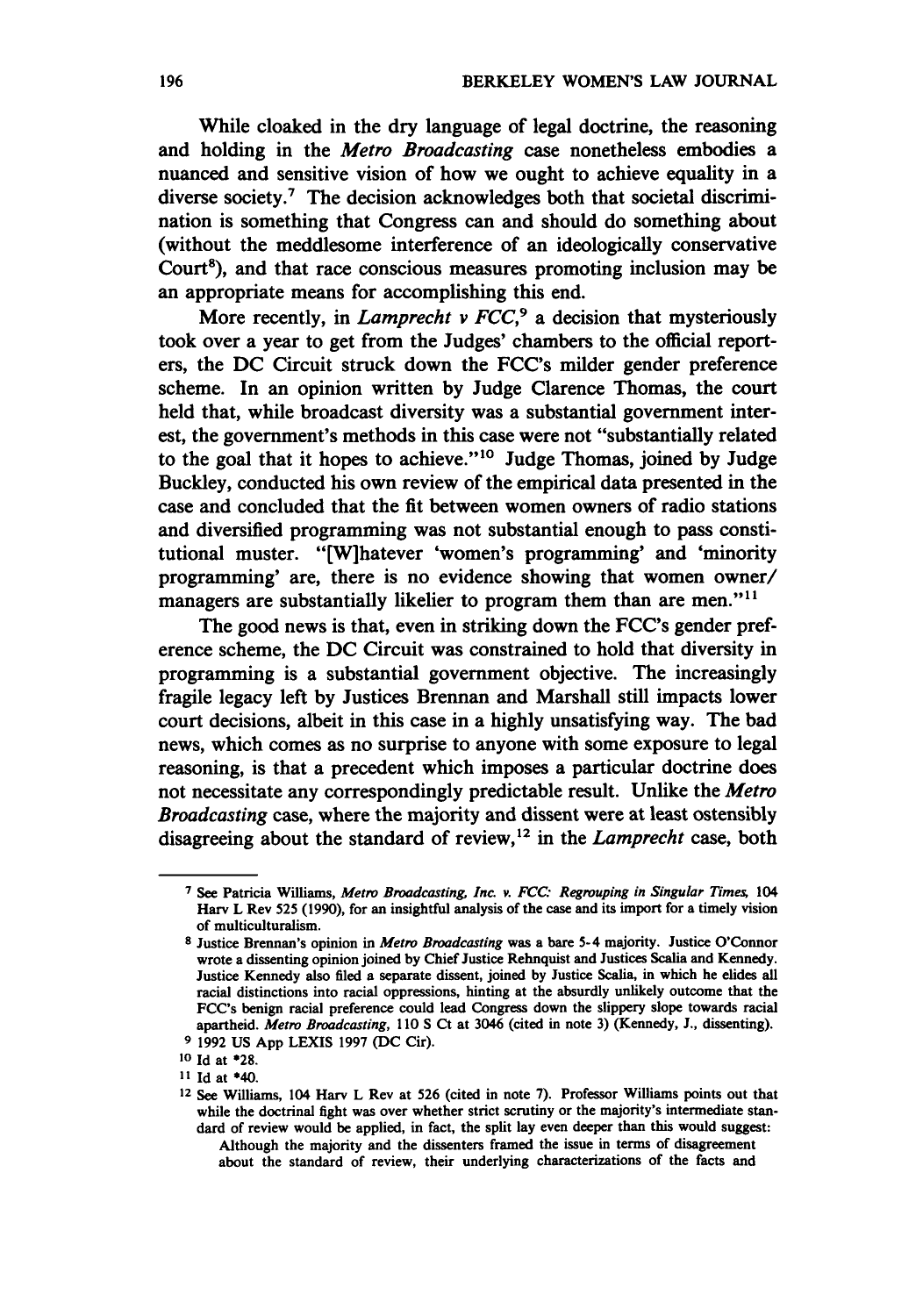While cloaked in the dry language of legal doctrine, the reasoning and holding in the *Metro Broadcasting* case nonetheless embodies a nuanced and sensitive vision of how we ought to achieve equality in a diverse society.<sup>7</sup> The decision acknowledges both that societal discrimination is something that Congress can and should do something about (without the meddlesome interference of an ideologically conservative Court'), and that race conscious measures promoting inclusion may be an appropriate means for accomplishing this end.

More recently, in *Lamprecht v FCC*,<sup>9</sup> a decision that mysteriously took over a year to get from the Judges' chambers to the official reporters, the **DC** Circuit struck down the FCC's milder gender preference scheme. In an opinion written **by** Judge Clarence Thomas, the court held that, while broadcast diversity was a substantial government interest, the government's methods in this case were not "substantially related to the goal that it hopes to achieve.""0 Judge Thomas, joined **by** Judge Buckley, conducted his own review of the empirical data presented in the case and concluded that the fit between women owners of radio stations and diversified programming was not substantial enough to pass constitutional muster. "[W]hatever 'women's programming' and 'minority programming' are, there is no evidence showing that women owner/ managers are substantially likelier to program them than are men."<sup>11</sup>

The good news is that, even in striking down the FCC's gender preference scheme, the **DC** Circuit was constrained to hold that diversity in programming is a substantial government objective. The increasingly fragile legacy left **by** Justices Brennan and Marshall still impacts lower court decisions, albeit in this case in a **highly** unsatisfying way. The bad news, which comes as no surprise to anyone with some exposure to legal reasoning, is that a precedent which imposes a particular doctrine does not necessitate any correspondingly predictable result. Unlike the *Metro Broadcasting* case, where the majority and dissent were at least ostensibly disagreeing about the standard of review,<sup>12</sup> in the *Lamprecht* case, both

**<sup>7</sup>**See Patricia **Williams, Metro Broadcasting** *Inc. v. FCC. Regrouping in Singular Times, 104* Harv L Rev **525 (1990),** for an insightful analysis of the case and its import for a timely vision of multiculturalism.

**<sup>8</sup>** Justice Brennan's opinion in *Metro Broadcasting* was a bare 5-4 majority. Justice O'Connor wrote a dissenting opinion joined **by** Chief Justice Rehnquist and Justices Scalia and Kennedy. Justice Kennedy also filed a separate dissent, joined **by** Justice Scalia, in which he elides all racial distinctions into racial oppressions, hinting at the absurdly unlikely outcome that the FCC's benign racial preference could lead Congress down the slippery slope towards racial apartheid. *Metro Broadcasting,* **110 S** Ct at 3046 (cited in note **3)** (Kennedy, **J.,** dissenting).

**<sup>9 1992</sup> US App LEXIS 1997 (DC** Cir).

**<sup>10</sup>**Id at **\*28.**

**<sup>11</sup>** Id at \*40.

**<sup>12</sup>**See Williams, 104 Harv L Rev at **526** (cited in note **7).** Professor Williams points out that while the doctrinal fight was over whether strict scrutiny or the majority's intermediate standard of review would be applied, in fact, the split lay even deeper than this would suggest: Although the majority and the dissenters framed the issue in terms of disagreement

about the standard of review, their underlying characterizations of the facts and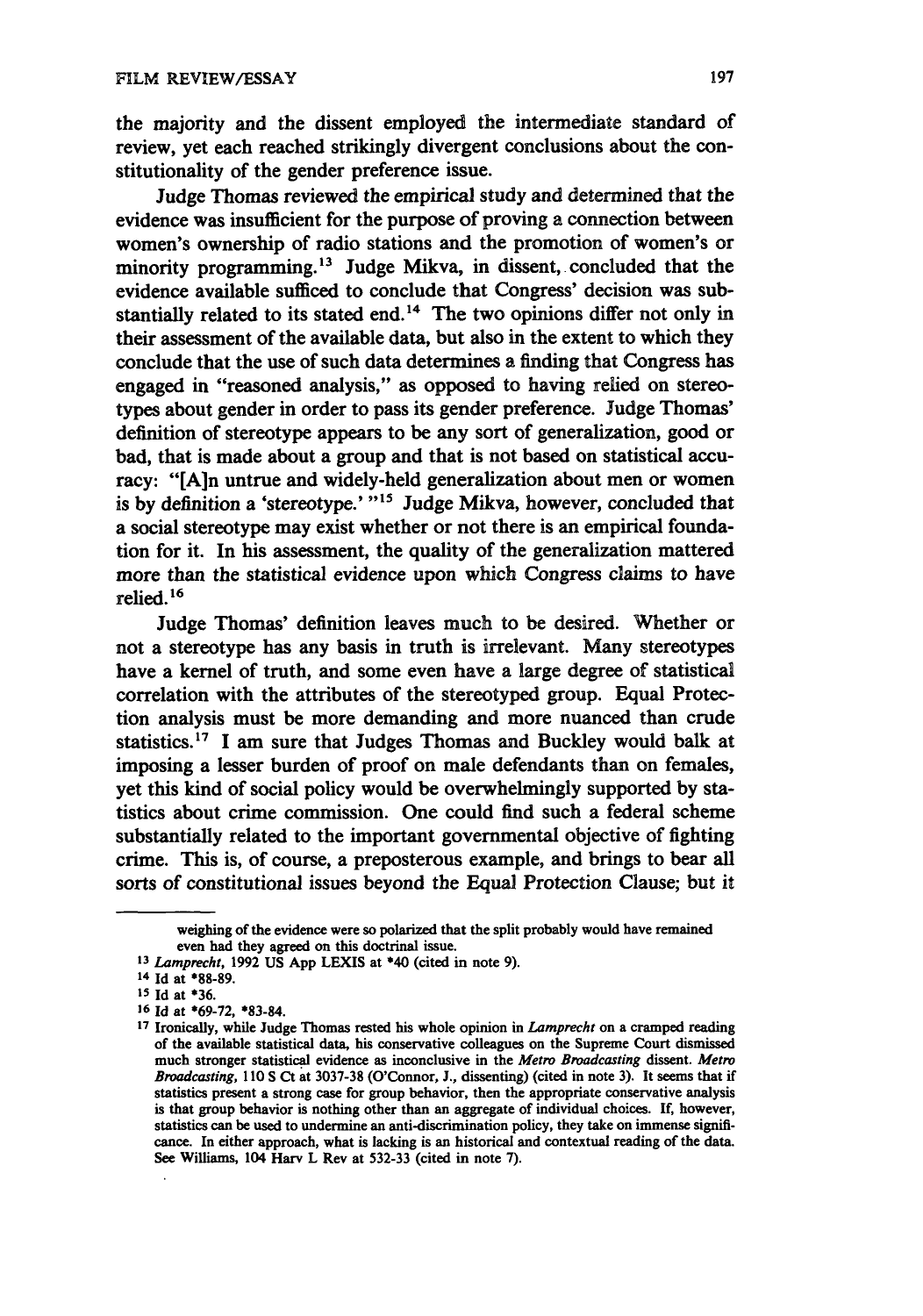the majority and the dissent employed the intermediate standard of review, yet each reached strikingly divergent conclusions about the constitutionality of the gender preference issue.

Judge Thomas reviewed the empirical study and determined that the evidence was insufficient for the purpose of proving a connection between women's ownership of radio stations and the promotion of women's or minority programming.<sup>13</sup> Judge Mikva, in dissent, concluded that the evidence available sufficed to conclude that Congress' decision was substantially related to its stated end.<sup>14</sup> The two opinions differ not only in their assessment of the available data, but also in the extent to which they conclude that the use of such data determines a finding that Congress has engaged in "reasoned analysis," as opposed to having relied on stereotypes about gender in order to pass its gender preference. Judge Thomas' definition of stereotype appears to be any sort of generalization, good or bad, that is made about a group and that is not based on statistical accuracy: "[Ain untrue and widely-held generalization about men or women is by definition a 'stereotype.' <sup>"15</sup> Judge Mikva, however, concluded that a social stereotype may exist whether or not there is an empirical foundation for it. In his assessment, the quality of the generalization mattered more than the statistical evidence upon which Congress claims to have relied. **<sup>16</sup>**

Judge Thomas' definition leaves much to be desired. Whether or not a stereotype has any basis in truth is irrelevant. Many stereotypes have a kernel of truth, and some even have a large degree of statistical correlation with the attributes of the stereotyped group. Equal Protection analysis must be more demanding and more nuanced than crude statistics.17 **I** am sure that Judges Thomas and Buckley would balk at imposing a lesser burden of proof on male defendants than on females, yet this kind of social policy would be overwhelmingly supported **by** statistics about crime commission. One could find such a federal scheme substantially related to the important governmental objective of fighting crime. This is, of course, a preposterous example, and brings to bear all sorts of constitutional issues beyond the Equal Protection Clause; but it

weighing of the evidence were so polarized that the split probably would have remained even had they agreed on this doctrinal issue.

*<sup>13</sup>***Lamprecht, 1992 US App LEXIS** at **\*40** (cited in note **9).**

<sup>14</sup> **Id** at **\*88-89.**

**<sup>15</sup> Id** at **\*36.**

**<sup>16</sup> Id** at **\*69-72,** \*83-84.

**<sup>17</sup>**Ironically, while Judge Thomas rested his whole opinion in **Lamprecht** on a cramped reading of the available statistical data, his conservative colleagues on the Supreme Court dismissed much stronger statistical evidence as inconclusive in the *Metro* **Broadcasting** dissent. *Metro Broadcasting,* **110 S** Ct at **3037-38** (O'Connor, **J.,** dissenting) (cited in note **3).** It seems that if statistics present a strong case for group behavior, then the appropriate conservative analysis is that group behavior is nothing other than an aggregate of individual choices. **If,** however, statistics can be used to undermine an anti-discrimination policy, they take on immense significance. In either approach, what is lacking is an historical and contextual reading of the data. See Williams, 104 Harv L Rev at 532-33 (cited in note **7).**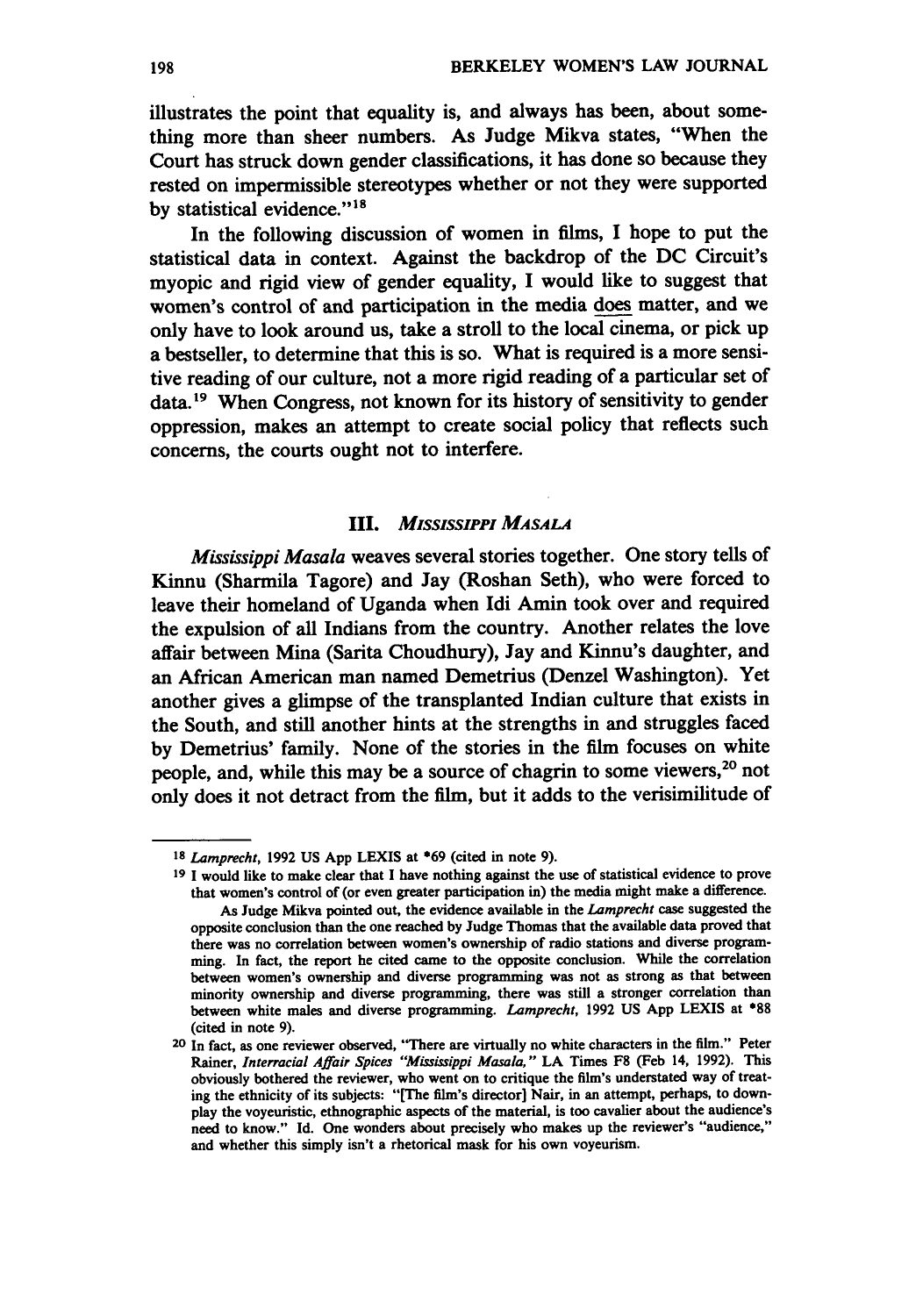illustrates the point that equality is, and always has been, about something more than sheer numbers. As Judge Mikva states, "When the Court has struck down gender classifications, it has done so because they rested on impermissible stereotypes whether or not they were supported by statistical evidence."<sup>18</sup>

In the following discussion of women in films, **I** hope to put the statistical data in context. Against the backdrop of the **DC** Circuit's myopic and rigid view of gender equality, **I** would like to suggest that women's control of and participation in the media does matter, and we only have to look around us, take a stroll to the local cinema, or pick up a bestseller, to determine that this is so. What is required is a more sensitive reading of our culture, not a more rigid reading of a particular set of data.<sup>19</sup> When Congress, not known for its history of sensitivity to gender oppression, makes an attempt to create social policy that reflects such concerns, the courts ought not to interfere.

#### **III.** *MISSISSIPPI MASALA*

*Mississippi Masala* weaves several stories together. One story tells of Kinnu (Sharmila Tagore) and Jay (Roshan Seth), who were forced to leave their homeland of Uganda when Idi Amin took over and required the expulsion of all Indians from the country. Another relates the love affair between Mina (Sarita Choudhury), Jay and Kinnu's daughter, and an African American man named Demetrius (Denzel Washington). Yet another gives a glimpse of the transplanted Indian culture that exists in the South, and still another hints at the strengths in and struggles faced **by** Demetrius' family. None of the stories in the film focuses on white people, and, while this may be a source of chagrin to some viewers, 20 not only does it not detract from the film, but it adds to the verisimilitude of

*<sup>18</sup>Lamprecht,* **1992 US App LEXIS** at **069** (cited in note **9).**

**<sup>19</sup> I** would like to make clear that I have nothing against the use of statistical evidence to prove that women's control of (or even greater participation in) the media might make a difference. As Judge Mikva pointed out, the evidence available in the *Lamprecht* case suggested the opposite conclusion than the one reached **by** Judge Thomas that the available data proved that there was no correlation between women's ownership of radio stations and diverse programming. In fact, the report he cited came to the opposite conclusion. While the correlation between women's ownership and diverse programming was not as strong as that between minority ownership and diverse programming, there was still a stronger correlation than between white males and diverse programming. *Lamprecht,* **1992 US App LEXIS** at **\*88** (cited in note **9).**

**<sup>20</sup>** In fact, as one reviewer observed, "There are virtually no white characters in the film." Peter Rainer, *Interracial Affair Spices "Mississippi Masala,"* **LA** Times **F8** (Feb 14, **1992).** This obviously bothered the reviewer, who went on to critique the film's understated way of treating the ethnicity of its subjects: "[The film's director] Nair, in an attempt, perhaps, to downplay the voyeuristic, ethnographic aspects of the material, is too cavalier about the audience's need to know." **Id.** One wonders about precisely who makes up the reviewer's "audience," and whether this simply isn't a rhetorical mask for his own voyeurism.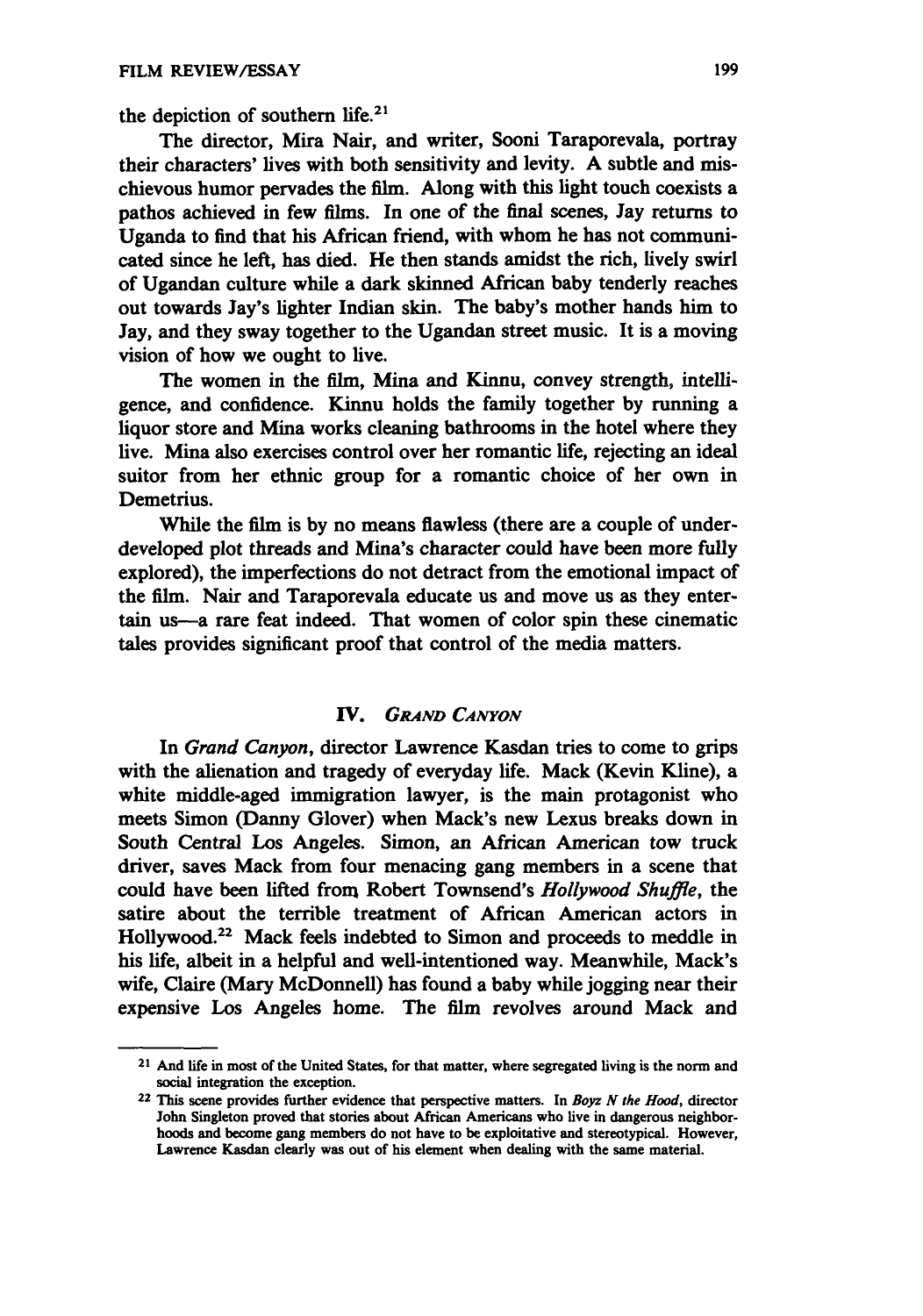the depiction of southern life.<sup>21</sup>

The director, Mira Nair, and writer, Sooni Taraporevala, portray their characters' lives with both sensitivity and levity. A subtle and mischievous humor pervades the film. Along with this light touch coexists a pathos achieved in few films. In one of the final scenes, Jay returns to Uganda to find that his African friend, with whom he has not communicated since he left, has died. He then stands amidst the rich, lively swirl of Ugandan culture while a dark skinned African baby tenderly reaches out towards Jay's lighter Indian skin. The baby's mother hands him to Jay, and they sway together to the Ugandan street music. It is a moving vision of how we ought to live.

The women in the film, Mina and Kinnu, convey strength, intelligence, and confidence. Kinnu holds the family together **by** running a liquor store and Mina works cleaning bathrooms in the hotel where they live. Mina also exercises control over her romantic life, rejecting an ideal suitor from her ethnic group for a romantic choice of her own in Demetrius.

While the film is **by** no means flawless (there are a couple of underdeveloped plot threads and Mina's character could have been more **fully** explored), the imperfections do not detract from the emotional impact of the film. Nair and Taraporevala educate us and move us as they entertain us-a rare feat indeed. That women of color spin these cinematic tales provides significant proof that control of the media matters.

#### *IV.* **GRAND** *CANYON*

In *Grand Canyon,* director Lawrence Kasdan tries to come to grips with the alienation and tragedy of everyday life. Mack (Kevin Kline), a white middle-aged immigration lawyer, is the main protagonist who meets Simon (Danny Glover) when Mack's new Lexus breaks down in South Central Los Angeles. Simon, an African American tow truck driver, saves Mack from four menacing gang members in a scene that could have been lifted from Robert Townsend's *Hollywood Shuffle,* the satire about the terrible treatment of African American actors in Hollywood.<sup>22</sup> Mack feels indebted to Simon and proceeds to meddle in his life, albeit in a helpful and well-intentioned way. Meanwhile, Mack's wife, Claire (Mary McDonnell) has found a baby while jogging near their expensive Los Angeles home. The film revolves around Mack and

**<sup>21</sup>**And life in most of the United States, for that matter, where segregated living is the norm and social integration the exception.

**<sup>22</sup>** This scene provides further evidence that perspective matters. In *Boyz N* **the** *Hood,* director John Singleton proved that stories about African Americans who live in dangerous neighborhoods and become gang members do not have to be exploitative and stereotypical. However, Lawrence Kasdan clearly was out of his element when dealing with the same material.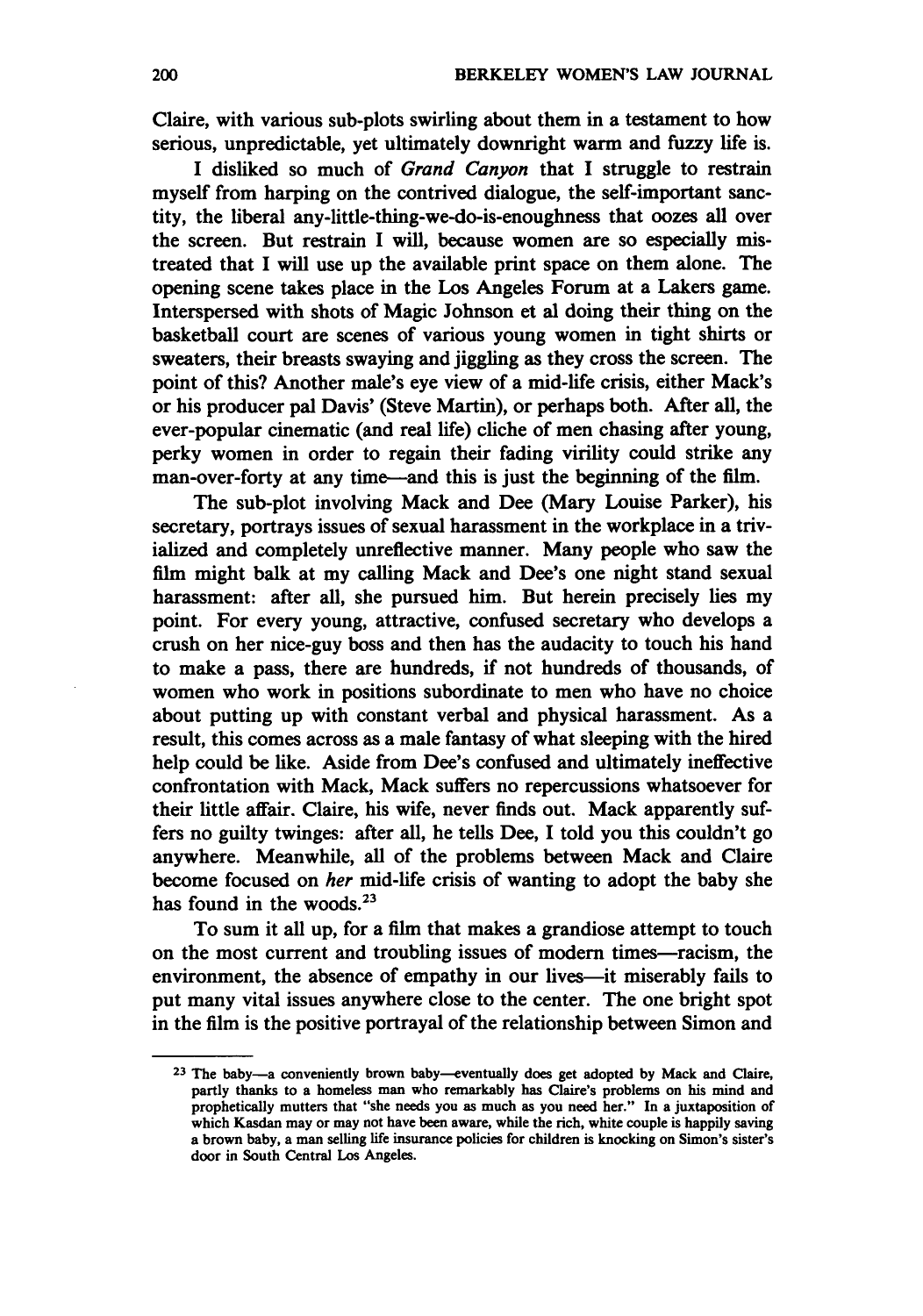Claire, with various sub-plots swirling about them in a testament to how serious, unpredictable, yet ultimately downright warm and **fuzzy** life is.

**I** disliked so much of *Grand Canyon* that I struggle to restrain myself from harping on the contrived dialogue, the self-important sanctity, the liberal any-little-thing-we-do-is-enoughness that oozes all over the screen. But restrain I will, because women are so especially mistreated that **I** will use up the available print space on them alone. The opening scene takes place in the Los Angeles Forum at a Lakers game. Interspersed with shots of Magic Johnson et al doing their thing on the basketball court are scenes of various young women in tight shirts or sweaters, their breasts swaying and **jiggling** as they cross the screen. The point of this? Another male's eye view of a mid-life crisis, either Mack's or his producer pal Davis' (Steve Martin), or perhaps both. After all, the ever-popular cinematic (and real life) cliche of men chasing after young, perky women in order to regain their fading virility could strike any man-over-forty at any time—and this is just the beginning of the film.

The sub-plot involving Mack and Dee (Mary Louise Parker), his secretary, portrays issues of sexual harassment in the workplace in a trivialized and completely unreflective manner. Many people who saw the film might balk at my calling Mack and Dee's one night stand sexual harassment: after all, she pursued him. But herein precisely lies my point. For every young, attractive, confused secretary who develops a crush on her nice-guy boss and then has the audacity to touch his hand to make a pass, there are hundreds, **if** not hundreds of thousands, of women who work in positions subordinate to men who have no choice about putting up with constant verbal and physical harassment. As a result, this comes across as a male fantasy of what sleeping with the hired help could be like. Aside from Dee's confused and ultimately ineffective confrontation with Mack, Mack suffers no repercussions whatsoever for their little affair. Claire, his wife, never finds out. Mack apparently suffers no guilty twinges: after all, he tells Dee, I told you this couldn't go anywhere. Meanwhile, all of the problems between Mack and Claire become focused on *her* mid-life crisis of wanting to adopt the baby she has found in the woods. $23$ 

To sum it all up, for a film that makes a grandiose attempt to touch on the most current and troubling issues of modern times-racism, the environment, the absence of empathy in our lives-it miserably fails to put many vital issues anywhere close to the center. The one bright spot in the film is the positive portrayal of the relationship between Simon and

**<sup>23</sup> The baby-a** conveniently brown baby-eventually does get adopted **by** Mack and Claire, partly thanks to a homeless man who remarkably has Claire's problems on his mind and prophetically mutters that "she needs you as much as you need her." In a juxtaposition of which Kasdan may or may not have been aware, while the rich, white couple is happily saving a brown baby, a man selling life insurance policies for children is knocking on Simon's sister's door in South Central Los Angeles.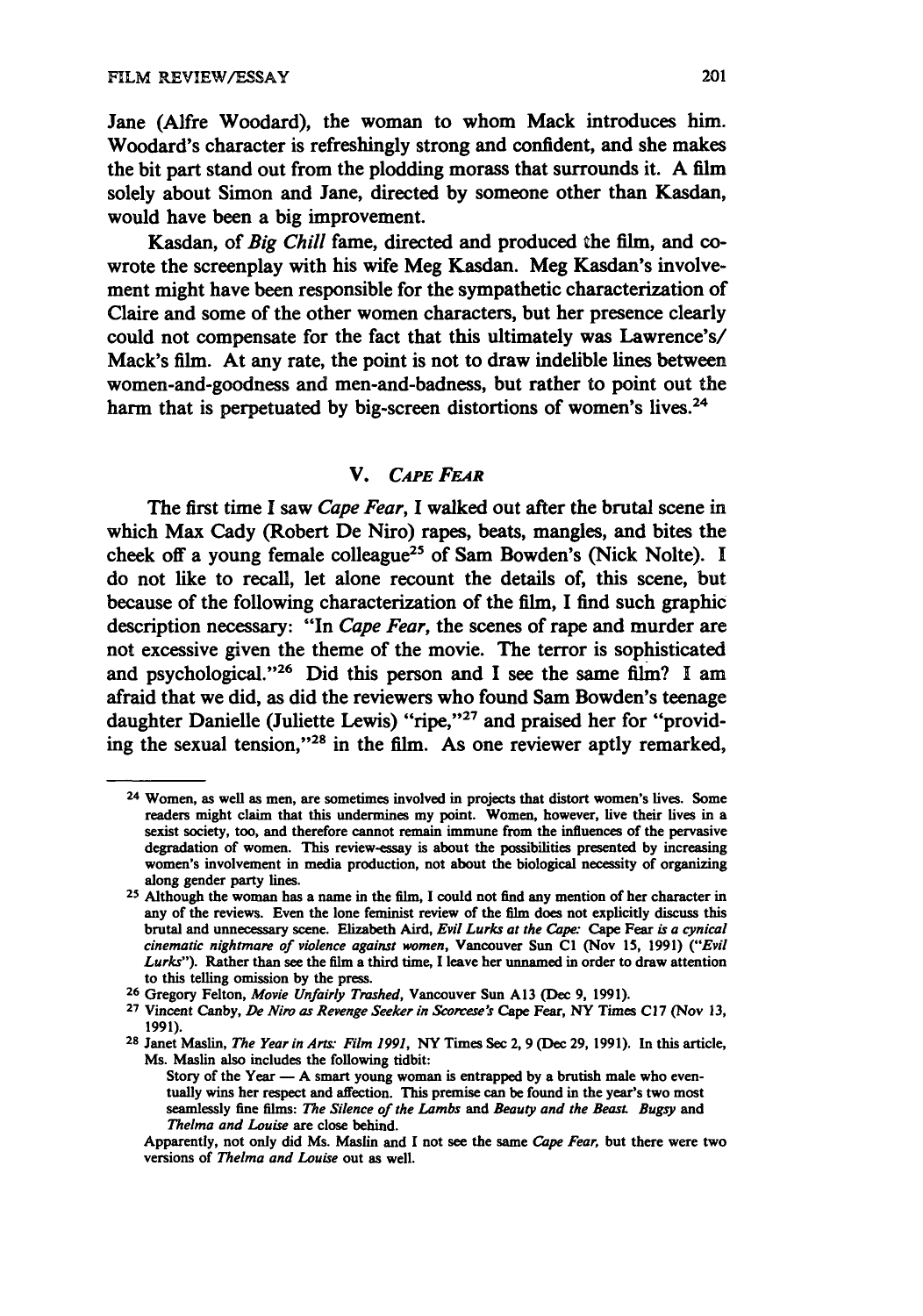Jane (Alfre Woodard), the woman to whom Mack introduces him. Woodard's character is refreshingly strong and confident, and she makes the bit part stand out from the plodding morass that surrounds it. **A** film solely about Simon and Jane, directed **by** someone other than Kasdan, would have been a big improvement.

Kasdan, of *Big Chill* fame, directed and produced **the** film, and cowrote the screenplay with his wife Meg Kasdan. Meg Kasdan's involvement might have been responsible for the sympathetic characterization of Claire and some of the other women characters, but her presence clearly could not compensate for the fact that this ultimately was Lawrence's/ Mack's film. At any rate, the point is not to draw indelible lines between women-and-goodness and men-and-badness, but rather to point out the harm that is perpetuated by big-screen distortions of women's lives.<sup>24</sup>

#### V. *CAPE* **FEaR**

The first time **I** saw *Cape Fear,* **I** walked out after the brutal scene in which Max Cady (Robert De Niro) rapes, beats, mangles, and bites the cheek off a young female colleague<sup>25</sup> of Sam Bowden's (Nick Nolte). I do not like to recall, let alone recount the details of, this scene, but because of the following characterization of the film, I find such graphic description necessary: "In *Cape Fear,* the scenes of rape and murder are not excessive given the theme of the movie. The terror is sophisticated and psychological."26 Did this person and I see the same film? **I** am afraid that we did, as did the reviewers who found Sam Bowden's teenage daughter Danielle (Juliette Lewis) "ripe,"<sup>27</sup> and praised her for "providing the sexual tension,"<sup>28</sup> in the film. As one reviewer aptly remarked,

**<sup>24</sup>** Women, as well as men, are sometimes involved **in** projects that distort women's lives. Some readers might claim that this undermines my point. Women, however, live their lives in a sexist society, too, and therefore cannot remain immune from the influences of the pervasive degradation of women. This review-essay is about the possibilities presented **by** increasing women's involvement in media production, not about the biological necessity of organizing along gender party lines.

**<sup>25</sup>**Although the woman has a name in the film, **I** could not find any mention of her character in any of the reviews. Even the lone feminist review of the film does not explicitly discuss this brutal and unnecessary scene. Elizabeth Aird, *Evil Lurks at the Cap"* Cape Fear **is** *a cynical cinematic nightmare of violence against women,* Vancouver **Sun CI** (Nov **15, 1991)** *("Evil Lurks").* Rather than see the film a third time, **I** leave her unnamed in order to draw attention to this telling omission **by** the press. **<sup>26</sup>**Gregory Felton, *Movie Unfairly* Trashed, Vancouver Sun **A13** (Dec **9, 1991).**

**<sup>27</sup>**Vincent Canby, *De Niro as Revenge Seeker in Scorcese's* Cape Fear, NY Times **C17** (Nov **13, 1991).**

**<sup>28</sup>**Janet Maslin, *The Year in Ars" Film 1991,* NY Times Sec 2, **9** (Dec **29, 1991).** In this article, Ms. Maslin also includes the following tidbit:

Story of the Year **- A** smart young woman is entrapped **by** a brutish male who eventually wins her respect and affection. This premise can be found in the year's two most seamlessly fine films: *The Silence of the Lambs and Beauty and the Beasi Bugsy* and *Thelma and Louise* are close behind.

Apparently, not only did Ms. Maslin and **I** not see the same *Cape Fear,* but there were two versions of *Thelma and Louise* out as well.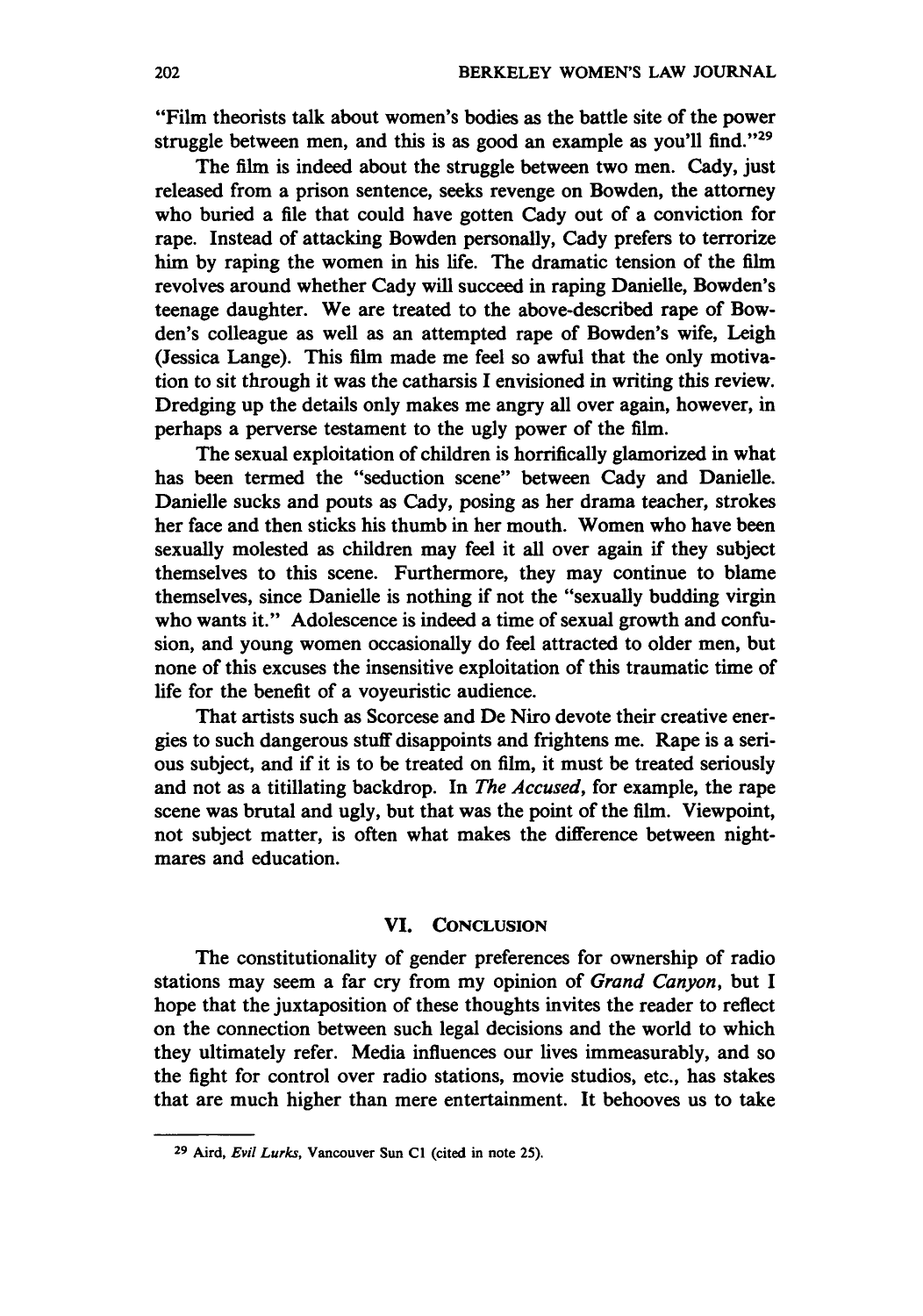"Film theorists talk about women's bodies as the battle site of the power struggle between men, and this is as good an example as you'll find."<sup>29</sup>

The film is indeed about the struggle between two men. Cady, just released from a prison sentence, seeks revenge on Bowden, the attorney who buried a file that could have gotten Cady out of a conviction for rape. Instead of attacking Bowden personally, Cady prefers to terrorize him **by** raping the women in his life. The dramatic tension of the film revolves around whether Cady will succeed in raping Danielle, Bowden's teenage daughter. We are treated to the above-described rape of Bowden's colleague as well as an attempted rape of Bowden's wife, Leigh (Jessica Lange). This film made me feel so awful that the only motivation to sit through it was the catharsis **I** envisioned in writing this review. Dredging up the details only makes me angry all over again, however, in perhaps a perverse testament to the ugly power of the film.

The sexual exploitation of children is horrifically glamorized in what has been termed the "seduction scene" between Cady and Danielle. Danielle sucks and pouts as Cady, posing as her drama teacher, strokes her face and then sticks his thumb in her mouth. Women who have been sexually molested as children may feel it all over again if they subject themselves to this scene. Furthermore, they may continue to blame themselves, since Danielle is nothing if not the "sexually budding virgin who wants it." Adolescence is indeed a time of sexual growth and confusion, and young women occasionally do feel attracted to older men, but none of this excuses the insensitive exploitation of this traumatic time of life for the benefit of a voyeuristic audience.

That artists such as Scorcese and De Niro devote their creative energies to such dangerous stuff disappoints and frightens me. Rape is a serious subject, and if it is to be treated on film, it must be treated seriously and not as a titillating backdrop. In *The Accused,* for example, the rape scene was brutal and ugly, but that was the point of the film. Viewpoint, not subject matter, is often what makes the difference between nightmares and education.

#### **VI. CONCLUSION**

The constitutionality of gender preferences for ownership of radio stations may seem a far cry from my opinion of *Grand Canyon,* but I hope that the juxtaposition of these thoughts invites the reader to reflect on the connection between such legal decisions and the world to which they ultimately refer. Media influences our lives immeasurably, and so the fight for control over radio stations, movie studios, etc., has stakes that are much higher than mere entertainment. It behooves us to take

**<sup>29</sup> Aird,** Evil *Lurks,* **Vancouver Sun CI (cited in note 25).**